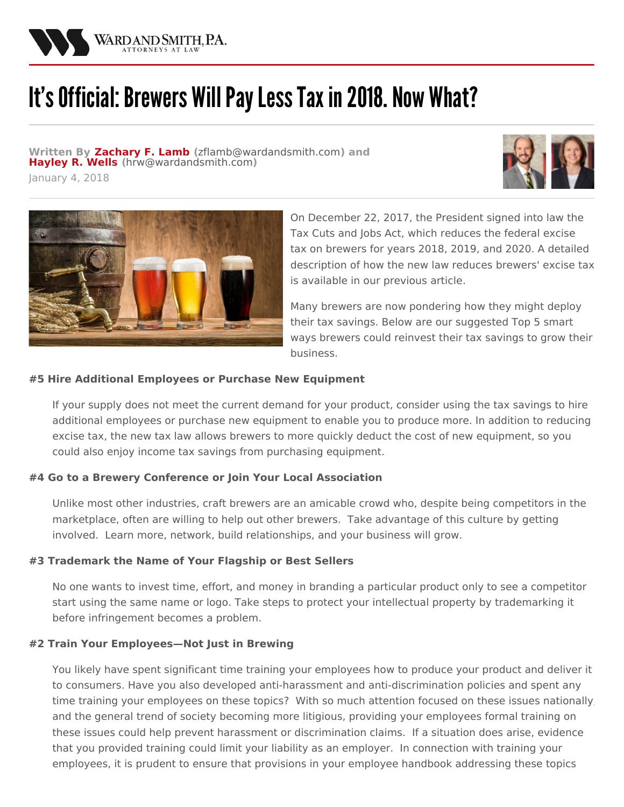

# It's Official: Brewers Will Pay Less Tax in 2018. Now What?

**Written By [Zachary](/attorneys/zachary-lamb) F. Lamb (**[zflamb@wardandsmith.com](mailto:zflamb@wardandsmith.com)**) and [Hayley](/attorneys/hayley-wells) R. Wells (**[hrw@wardandsmith.com](mailto:hrw@wardandsmith.com)**)**

January 4, 2018





On December 22, 2017, the President signed into law the Tax Cuts and Jobs Act, which reduces the federal excise tax on brewers for years 2018, 2019, and 2020. A detailed description of how the new law reduces brewers' excise tax is available in our previous [article](/articles/cheers-brewers-will-have-reason-to-toast-if-proposed-tax-changes-become-law).

Many brewers are now pondering how they might deploy their tax savings. Below are our suggested Top 5 smart ways brewers could reinvest their tax savings to grow their business.

#### **#5 Hire Additional Employees or Purchase New Equipment**

If your supply does not meet the current demand for your product, consider using the tax savings to hire additional employees or purchase new equipment to enable you to produce more. In addition to reducing excise tax, the new tax law allows brewers to more quickly deduct the cost of new equipment, so you could also enjoy income tax savings from purchasing equipment.

### **#4 Go to a Brewery Conference or Join Your Local Association**

Unlike most other industries, craft brewers are an amicable crowd who, despite being competitors in the marketplace, often are willing to help out other brewers. Take advantage of this culture by getting involved. Learn more, network, build relationships, and your business will grow.

### **#3 Trademark the Name of Your Flagship or Best Sellers**

No one wants to invest time, effort, and money in branding a particular product only to see a competitor start using the same name or logo. Take steps to protect your intellectual property by trademarking it before infringement becomes a problem.

#### **#2 Train Your Employees—Not Just in Brewing**

You likely have spent significant time training your employees how to produce your product and deliver it to consumers. Have you also developed anti-harassment and anti-discrimination policies and spent any time training your employees on these topics? With so much attention focused on these issues nationally, and the general trend of society becoming more litigious, providing your employees formal training on these issues could help prevent harassment or discrimination claims. If a situation does arise, evidence that you provided training could limit your liability as an employer. In connection with training your employees, it is prudent to ensure that provisions in your employee handbook addressing these topics